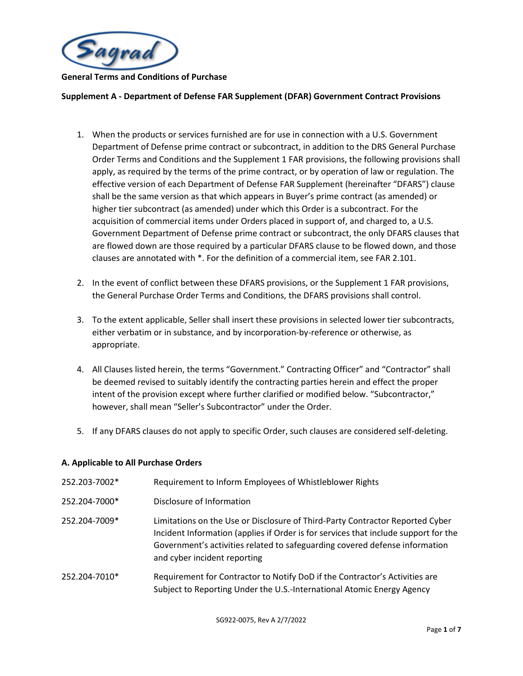

#### **Supplement A - Department of Defense FAR Supplement (DFAR) Government Contract Provisions**

- 1. When the products or services furnished are for use in connection with a U.S. Government Department of Defense prime contract or subcontract, in addition to the DRS General Purchase Order Terms and Conditions and the Supplement 1 FAR provisions, the following provisions shall apply, as required by the terms of the prime contract, or by operation of law or regulation. The effective version of each Department of Defense FAR Supplement (hereinafter "DFARS") clause shall be the same version as that which appears in Buyer's prime contract (as amended) or higher tier subcontract (as amended) under which this Order is a subcontract. For the acquisition of commercial items under Orders placed in support of, and charged to, a U.S. Government Department of Defense prime contract or subcontract, the only DFARS clauses that are flowed down are those required by a particular DFARS clause to be flowed down, and those clauses are annotated with \*. For the definition of a commercial item, see FAR 2.101.
- 2. In the event of conflict between these DFARS provisions, or the Supplement 1 FAR provisions, the General Purchase Order Terms and Conditions, the DFARS provisions shall control.
- 3. To the extent applicable, Seller shall insert these provisions in selected lower tier subcontracts, either verbatim or in substance, and by incorporation-by-reference or otherwise, as appropriate.
- 4. All Clauses listed herein, the terms "Government." Contracting Officer" and "Contractor" shall be deemed revised to suitably identify the contracting parties herein and effect the proper intent of the provision except where further clarified or modified below. "Subcontractor," however, shall mean "Seller's Subcontractor" under the Order.
- 5. If any DFARS clauses do not apply to specific Order, such clauses are considered self-deleting.

#### **A. Applicable to All Purchase Orders**

| 252.203-7002* | Requirement to Inform Employees of Whistleblower Rights                                                                                                                                                                                                                             |
|---------------|-------------------------------------------------------------------------------------------------------------------------------------------------------------------------------------------------------------------------------------------------------------------------------------|
| 252.204-7000* | Disclosure of Information                                                                                                                                                                                                                                                           |
| 252.204-7009* | Limitations on the Use or Disclosure of Third-Party Contractor Reported Cyber<br>Incident Information (applies if Order is for services that include support for the<br>Government's activities related to safeguarding covered defense information<br>and cyber incident reporting |
| 252.204-7010* | Requirement for Contractor to Notify DoD if the Contractor's Activities are<br>Subject to Reporting Under the U.S.-International Atomic Energy Agency                                                                                                                               |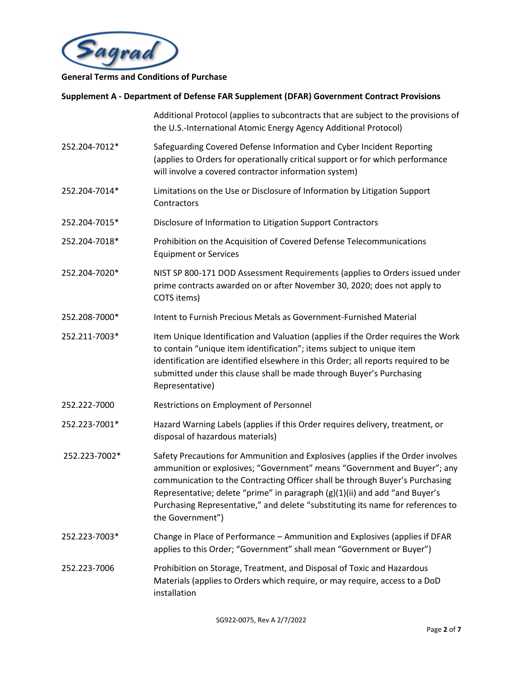

|               | Additional Protocol (applies to subcontracts that are subject to the provisions of<br>the U.S.-International Atomic Energy Agency Additional Protocol)                                                                                                                                                                                                                                                                            |
|---------------|-----------------------------------------------------------------------------------------------------------------------------------------------------------------------------------------------------------------------------------------------------------------------------------------------------------------------------------------------------------------------------------------------------------------------------------|
| 252.204-7012* | Safeguarding Covered Defense Information and Cyber Incident Reporting<br>(applies to Orders for operationally critical support or for which performance<br>will involve a covered contractor information system)                                                                                                                                                                                                                  |
| 252.204-7014* | Limitations on the Use or Disclosure of Information by Litigation Support<br>Contractors                                                                                                                                                                                                                                                                                                                                          |
| 252.204-7015* | Disclosure of Information to Litigation Support Contractors                                                                                                                                                                                                                                                                                                                                                                       |
| 252.204-7018* | Prohibition on the Acquisition of Covered Defense Telecommunications<br><b>Equipment or Services</b>                                                                                                                                                                                                                                                                                                                              |
| 252.204-7020* | NIST SP 800-171 DOD Assessment Requirements (applies to Orders issued under<br>prime contracts awarded on or after November 30, 2020; does not apply to<br>COTS items)                                                                                                                                                                                                                                                            |
| 252.208-7000* | Intent to Furnish Precious Metals as Government-Furnished Material                                                                                                                                                                                                                                                                                                                                                                |
| 252.211-7003* | Item Unique Identification and Valuation (applies if the Order requires the Work<br>to contain "unique item identification"; items subject to unique item<br>identification are identified elsewhere in this Order; all reports required to be<br>submitted under this clause shall be made through Buyer's Purchasing<br>Representative)                                                                                         |
| 252.222-7000  | Restrictions on Employment of Personnel                                                                                                                                                                                                                                                                                                                                                                                           |
| 252.223-7001* | Hazard Warning Labels (applies if this Order requires delivery, treatment, or<br>disposal of hazardous materials)                                                                                                                                                                                                                                                                                                                 |
| 252.223-7002* | Safety Precautions for Ammunition and Explosives (applies if the Order involves<br>ammunition or explosives; "Government" means "Government and Buyer"; any<br>communication to the Contracting Officer shall be through Buyer's Purchasing<br>Representative; delete "prime" in paragraph (g)(1)(ii) and add "and Buyer's<br>Purchasing Representative," and delete "substituting its name for references to<br>the Government") |
| 252.223-7003* | Change in Place of Performance - Ammunition and Explosives (applies if DFAR<br>applies to this Order; "Government" shall mean "Government or Buyer")                                                                                                                                                                                                                                                                              |
| 252.223-7006  | Prohibition on Storage, Treatment, and Disposal of Toxic and Hazardous<br>Materials (applies to Orders which require, or may require, access to a DoD<br>installation                                                                                                                                                                                                                                                             |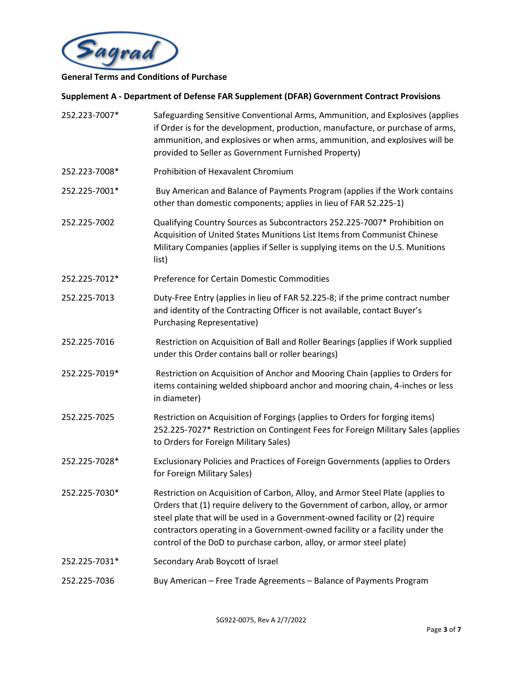

| 252.223-7007* | Safeguarding Sensitive Conventional Arms, Ammunition, and Explosives (applies<br>if Order is for the development, production, manufacture, or purchase of arms,<br>ammunition, and explosives or when arms, ammunition, and explosives will be<br>provided to Seller as Government Furnished Property)                                                                                                |
|---------------|-------------------------------------------------------------------------------------------------------------------------------------------------------------------------------------------------------------------------------------------------------------------------------------------------------------------------------------------------------------------------------------------------------|
| 252.223-7008* | Prohibition of Hexavalent Chromium                                                                                                                                                                                                                                                                                                                                                                    |
| 252.225-7001* | Buy American and Balance of Payments Program (applies if the Work contains<br>other than domestic components; applies in lieu of FAR 52.225-1)                                                                                                                                                                                                                                                        |
| 252.225-7002  | Qualifying Country Sources as Subcontractors 252.225-7007* Prohibition on<br>Acquisition of United States Munitions List Items from Communist Chinese<br>Military Companies (applies if Seller is supplying items on the U.S. Munitions<br>list)                                                                                                                                                      |
| 252.225-7012* | Preference for Certain Domestic Commodities                                                                                                                                                                                                                                                                                                                                                           |
| 252.225-7013  | Duty-Free Entry (applies in lieu of FAR 52.225-8; if the prime contract number<br>and identity of the Contracting Officer is not available, contact Buyer's<br>Purchasing Representative)                                                                                                                                                                                                             |
| 252.225-7016  | Restriction on Acquisition of Ball and Roller Bearings (applies if Work supplied<br>under this Order contains ball or roller bearings)                                                                                                                                                                                                                                                                |
| 252.225-7019* | Restriction on Acquisition of Anchor and Mooring Chain (applies to Orders for<br>items containing welded shipboard anchor and mooring chain, 4-inches or less<br>in diameter)                                                                                                                                                                                                                         |
| 252.225-7025  | Restriction on Acquisition of Forgings (applies to Orders for forging items)<br>252.225-7027* Restriction on Contingent Fees for Foreign Military Sales (applies<br>to Orders for Foreign Military Sales)                                                                                                                                                                                             |
| 252.225-7028* | Exclusionary Policies and Practices of Foreign Governments (applies to Orders<br>for Foreign Military Sales)                                                                                                                                                                                                                                                                                          |
| 252.225-7030* | Restriction on Acquisition of Carbon, Alloy, and Armor Steel Plate (applies to<br>Orders that (1) require delivery to the Government of carbon, alloy, or armor<br>steel plate that will be used in a Government-owned facility or (2) require<br>contractors operating in a Government-owned facility or a facility under the<br>control of the DoD to purchase carbon, alloy, or armor steel plate) |
| 252.225-7031* | Secondary Arab Boycott of Israel                                                                                                                                                                                                                                                                                                                                                                      |
| 252.225-7036  | Buy American - Free Trade Agreements - Balance of Payments Program                                                                                                                                                                                                                                                                                                                                    |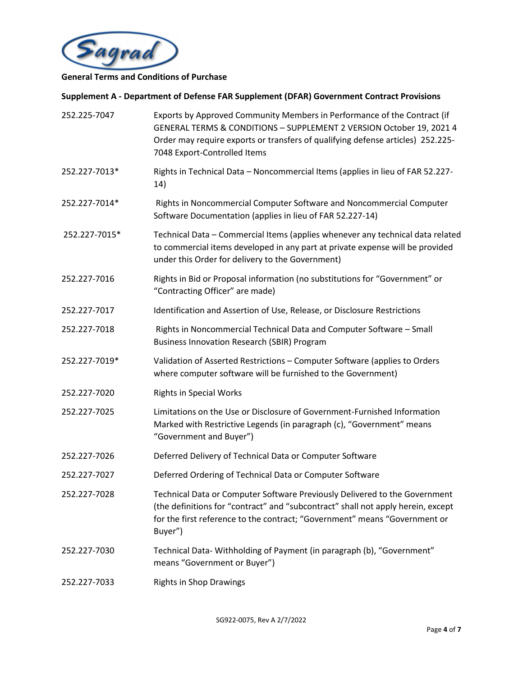

| 252.225-7047  | Exports by Approved Community Members in Performance of the Contract (if<br>GENERAL TERMS & CONDITIONS - SUPPLEMENT 2 VERSION October 19, 2021 4<br>Order may require exports or transfers of qualifying defense articles) 252.225-<br>7048 Export-Controlled Items |
|---------------|---------------------------------------------------------------------------------------------------------------------------------------------------------------------------------------------------------------------------------------------------------------------|
| 252.227-7013* | Rights in Technical Data - Noncommercial Items (applies in lieu of FAR 52.227-<br>14)                                                                                                                                                                               |
| 252.227-7014* | Rights in Noncommercial Computer Software and Noncommercial Computer<br>Software Documentation (applies in lieu of FAR 52.227-14)                                                                                                                                   |
| 252.227-7015* | Technical Data - Commercial Items (applies whenever any technical data related<br>to commercial items developed in any part at private expense will be provided<br>under this Order for delivery to the Government)                                                 |
| 252.227-7016  | Rights in Bid or Proposal information (no substitutions for "Government" or<br>"Contracting Officer" are made)                                                                                                                                                      |
| 252.227-7017  | Identification and Assertion of Use, Release, or Disclosure Restrictions                                                                                                                                                                                            |
| 252.227-7018  | Rights in Noncommercial Technical Data and Computer Software - Small<br><b>Business Innovation Research (SBIR) Program</b>                                                                                                                                          |
| 252.227-7019* | Validation of Asserted Restrictions - Computer Software (applies to Orders<br>where computer software will be furnished to the Government)                                                                                                                          |
| 252.227-7020  | <b>Rights in Special Works</b>                                                                                                                                                                                                                                      |
| 252.227-7025  | Limitations on the Use or Disclosure of Government-Furnished Information<br>Marked with Restrictive Legends (in paragraph (c), "Government" means<br>"Government and Buyer")                                                                                        |
| 252.227-7026  | Deferred Delivery of Technical Data or Computer Software                                                                                                                                                                                                            |
| 252.227-7027  | Deferred Ordering of Technical Data or Computer Software                                                                                                                                                                                                            |
| 252.227-7028  | Technical Data or Computer Software Previously Delivered to the Government<br>(the definitions for "contract" and "subcontract" shall not apply herein, except<br>for the first reference to the contract; "Government" means "Government or<br>Buyer")             |
| 252.227-7030  | Technical Data-Withholding of Payment (in paragraph (b), "Government"<br>means "Government or Buyer")                                                                                                                                                               |
| 252.227-7033  | <b>Rights in Shop Drawings</b>                                                                                                                                                                                                                                      |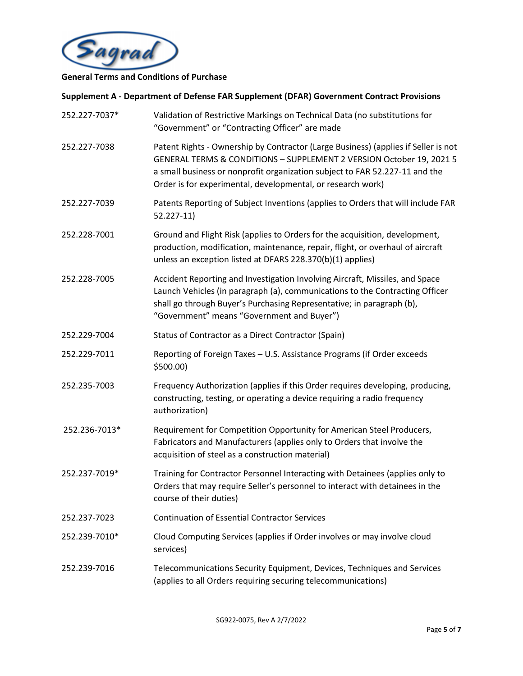

| 252.227-7037* | Validation of Restrictive Markings on Technical Data (no substitutions for<br>"Government" or "Contracting Officer" are made                                                                                                                                                                             |
|---------------|----------------------------------------------------------------------------------------------------------------------------------------------------------------------------------------------------------------------------------------------------------------------------------------------------------|
| 252.227-7038  | Patent Rights - Ownership by Contractor (Large Business) (applies if Seller is not<br>GENERAL TERMS & CONDITIONS - SUPPLEMENT 2 VERSION October 19, 2021 5<br>a small business or nonprofit organization subject to FAR 52.227-11 and the<br>Order is for experimental, developmental, or research work) |
| 252.227-7039  | Patents Reporting of Subject Inventions (applies to Orders that will include FAR<br>$52.227 - 11$                                                                                                                                                                                                        |
| 252.228-7001  | Ground and Flight Risk (applies to Orders for the acquisition, development,<br>production, modification, maintenance, repair, flight, or overhaul of aircraft<br>unless an exception listed at DFARS 228.370(b)(1) applies)                                                                              |
| 252.228-7005  | Accident Reporting and Investigation Involving Aircraft, Missiles, and Space<br>Launch Vehicles (in paragraph (a), communications to the Contracting Officer<br>shall go through Buyer's Purchasing Representative; in paragraph (b),<br>"Government" means "Government and Buyer")                      |
| 252.229-7004  | Status of Contractor as a Direct Contractor (Spain)                                                                                                                                                                                                                                                      |
| 252.229-7011  | Reporting of Foreign Taxes - U.S. Assistance Programs (if Order exceeds<br>$$500.00$ )                                                                                                                                                                                                                   |
| 252.235-7003  | Frequency Authorization (applies if this Order requires developing, producing,<br>constructing, testing, or operating a device requiring a radio frequency<br>authorization)                                                                                                                             |
| 252.236-7013* | Requirement for Competition Opportunity for American Steel Producers,<br>Fabricators and Manufacturers (applies only to Orders that involve the<br>acquisition of steel as a construction material)                                                                                                      |
| 252.237-7019* | Training for Contractor Personnel Interacting with Detainees (applies only to<br>Orders that may require Seller's personnel to interact with detainees in the<br>course of their duties)                                                                                                                 |
| 252.237-7023  | <b>Continuation of Essential Contractor Services</b>                                                                                                                                                                                                                                                     |
| 252.239-7010* | Cloud Computing Services (applies if Order involves or may involve cloud<br>services)                                                                                                                                                                                                                    |
| 252.239-7016  | Telecommunications Security Equipment, Devices, Techniques and Services<br>(applies to all Orders requiring securing telecommunications)                                                                                                                                                                 |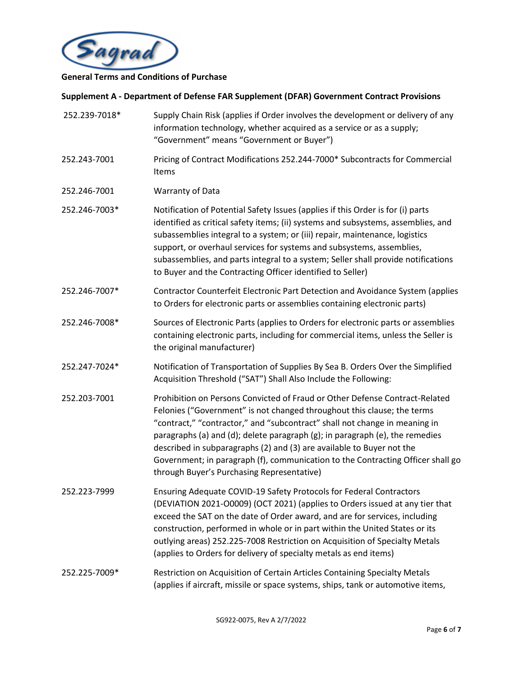

| 252.239-7018* | Supply Chain Risk (applies if Order involves the development or delivery of any<br>information technology, whether acquired as a service or as a supply;<br>"Government" means "Government or Buyer")                                                                                                                                                                                                                                                                                                                          |
|---------------|--------------------------------------------------------------------------------------------------------------------------------------------------------------------------------------------------------------------------------------------------------------------------------------------------------------------------------------------------------------------------------------------------------------------------------------------------------------------------------------------------------------------------------|
| 252.243-7001  | Pricing of Contract Modifications 252.244-7000* Subcontracts for Commercial<br>Items                                                                                                                                                                                                                                                                                                                                                                                                                                           |
| 252.246-7001  | Warranty of Data                                                                                                                                                                                                                                                                                                                                                                                                                                                                                                               |
| 252.246-7003* | Notification of Potential Safety Issues (applies if this Order is for (i) parts<br>identified as critical safety items; (ii) systems and subsystems, assemblies, and<br>subassemblies integral to a system; or (iii) repair, maintenance, logistics<br>support, or overhaul services for systems and subsystems, assemblies,<br>subassemblies, and parts integral to a system; Seller shall provide notifications<br>to Buyer and the Contracting Officer identified to Seller)                                                |
| 252.246-7007* | Contractor Counterfeit Electronic Part Detection and Avoidance System (applies<br>to Orders for electronic parts or assemblies containing electronic parts)                                                                                                                                                                                                                                                                                                                                                                    |
| 252.246-7008* | Sources of Electronic Parts (applies to Orders for electronic parts or assemblies<br>containing electronic parts, including for commercial items, unless the Seller is<br>the original manufacturer)                                                                                                                                                                                                                                                                                                                           |
| 252.247-7024* | Notification of Transportation of Supplies By Sea B. Orders Over the Simplified<br>Acquisition Threshold ("SAT") Shall Also Include the Following:                                                                                                                                                                                                                                                                                                                                                                             |
| 252.203-7001  | Prohibition on Persons Convicted of Fraud or Other Defense Contract-Related<br>Felonies ("Government" is not changed throughout this clause; the terms<br>"contract," "contractor," and "subcontract" shall not change in meaning in<br>paragraphs (a) and (d); delete paragraph (g); in paragraph (e), the remedies<br>described in subparagraphs (2) and (3) are available to Buyer not the<br>Government; in paragraph (f), communication to the Contracting Officer shall go<br>through Buyer's Purchasing Representative) |
| 252.223-7999  | Ensuring Adequate COVID-19 Safety Protocols for Federal Contractors<br>(DEVIATION 2021-O0009) (OCT 2021) (applies to Orders issued at any tier that<br>exceed the SAT on the date of Order award, and are for services, including<br>construction, performed in whole or in part within the United States or its<br>outlying areas) 252.225-7008 Restriction on Acquisition of Specialty Metals<br>(applies to Orders for delivery of specialty metals as end items)                                                           |
| 252.225-7009* | Restriction on Acquisition of Certain Articles Containing Specialty Metals<br>(applies if aircraft, missile or space systems, ships, tank or automotive items,                                                                                                                                                                                                                                                                                                                                                                 |